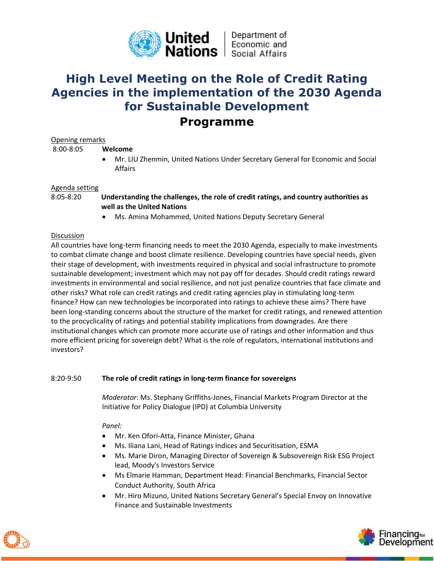

# **High Level Meeting on the Role of Credit Rating Agencies in the implementation of the 2030 Agenda for Sustainable Development**

## **Programme**

## Opening remarks

8:00-8:05 **Welcome**

• Mr. LIU Zhenmin, United Nations Under Secretary General for Economic and Social Affairs

#### Agenda setting

- 8:05-8:20 **Understanding the challenges, the role of credit ratings, and country authorities as well as the United Nations**
	- Ms. Amina Mohammed, United Nations Deputy Secretary General

## Discussion

All countries have long-term financing needs to meet the 2030 Agenda, especially to make investments to combat climate change and boost climate resilience. Developing countries have special needs, given their stage of development, with investments required in physical and social infrastructure to promote sustainable development; investment which may not pay off for decades. Should credit ratings reward investments in environmental and social resilience, and not just penalize countries that face climate and other risks? What role can credit ratings and credit rating agencies play in stimulating long-term finance? How can new technologies be incorporated into ratings to achieve these aims? There have been long-standing concerns about the structure of the market for credit ratings, and renewed attention to the procyclicality of ratings and potential stability implications from downgrades. Are there institutional changes which can promote more accurate use of ratings and other information and thus more efficient pricing for sovereign debt? What is the role of regulators, international institutions and investors?

## 8:20-9:50 **The role of credit ratings in long-term finance for sovereigns**

*Moderator*: Ms. Stephany Griffiths-Jones, Financial Markets Program Director at the Initiative for Policy Dialogue (IPD) at Columbia University

## *Panel:*

- Mr. Ken Ofori-Atta, Finance Minister, Ghana
- Ms. Iliana Lani, Head of Ratings Indices and Securitisation, ESMA
- Ms. Marie Diron, Managing Director of Sovereign & Subsovereign Risk ESG Project lead, Moody's Investors Service
- Ms Elmarie Hamman, Department Head: Financial Benchmarks, Financial Sector Conduct Authority, South Africa
- Mr. Hiro Mizuno, United Nations Secretary General's Special Envoy on Innovative Finance and Sustainable Investments